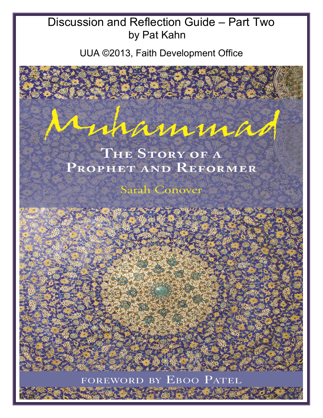## Discussion and Reflection Guide – Part Two by Pat Kahn

UUA ©2013, Faith Development Office

mannman

# THE STORY OF A PROPHET AND REFORMER

**Sarah Conover** 

FOREWORD BY EBOO PATEL

 $\overline{\phantom{a}}$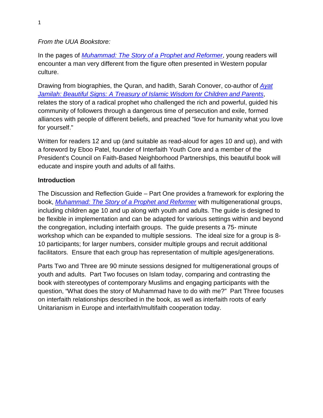## *From the UUA Bookstore:*

In the pages of *[Muhammad: The Story of a Prophet and Reformer](http://r20.rs6.net/tn.jsp?e=001OfNFBMRCcivS1hzN53kSHOxzYs_hruGCL_ZZ-h87Mg3LFUNFM7hbbTBSlRVVFfVZIDWmg7bRC4eAR38CyhF2blPaNTL1PKV7NF12cQA-MuPCQQNJLIyVpxpfv9uyk8aXUgLcwZrV-f3nvEAGk38EoklN_5Ge-WHD)*, young readers will encounter a man very different from the figure often presented in Western popular culture.

Drawing from biographies, the Quran, and hadith, Sarah Conover, co-author of *[Ayat](http://www.uuabookstore.org/productdetails.cfm?PC=1274)  [Jamilah: Beautiful Signs: A Treasury of Islamic Wisdom for Children and Parents](http://www.uuabookstore.org/productdetails.cfm?PC=1274)*, relates the story of a radical prophet who challenged the rich and powerful, guided his community of followers through a dangerous time of persecution and exile, formed alliances with people of different beliefs, and preached "love for humanity what you love for yourself."

Written for readers 12 and up (and suitable as read-aloud for ages 10 and up), and with a foreword by Eboo Patel, founder of Interfaith Youth Core and a member of the President's Council on Faith-Based Neighborhood Partnerships, this beautiful book will educate and inspire youth and adults of all faiths.

#### **Introduction**

The Discussion and Reflection Guide – Part One provides a framework for exploring the book, *[Muhammad: The Story of a Prophet and Reformer](http://r20.rs6.net/tn.jsp?e=001OfNFBMRCcivS1hzN53kSHOxzYs_hruGCL_ZZ-h87Mg3LFUNFM7hbbTBSlRVVFfVZIDWmg7bRC4eAR38CyhF2blPaNTL1PKV7NF12cQA-MuPCQQNJLIyVpxpfv9uyk8aXUgLcwZrV-f3nvEAGk38EoklN_5Ge-WHD)* with multigenerational groups, including children age 10 and up along with youth and adults. The guide is designed to be flexible in implementation and can be adapted for various settings within and beyond the congregation, including interfaith groups. The guide presents a 75- minute workshop which can be expanded to multiple sessions. The ideal size for a group is 8- 10 participants; for larger numbers, consider multiple groups and recruit additional facilitators. Ensure that each group has representation of multiple ages/generations.

Parts Two and Three are 90 minute sessions designed for multigenerational groups of youth and adults. Part Two focuses on Islam today, comparing and contrasting the book with stereotypes of contemporary Muslims and engaging participants with the question, "What does the story of Muhammad have to do with me?" Part Three focuses on interfaith relationships described in the book, as well as interfaith roots of early Unitarianism in Europe and interfaith/multifaith cooperation today.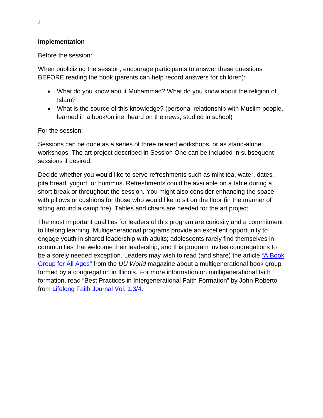## **Implementation**

Before the session:

When publicizing the session, encourage participants to answer these questions BEFORE reading the book (parents can help record answers for children):

- What do you know about Muhammad? What do you know about the religion of Islam?
- What is the source of this knowledge? (personal relationship with Muslim people, learned in a book/online, heard on the news, studied in school)

For the session:

Sessions can be done as a series of three related workshops, or as stand-alone workshops. The art project described in Session One can be included in subsequent sessions if desired.

Decide whether you would like to serve refreshments such as mint tea, water, dates, pita bread, yogurt, or hummus. Refreshments could be available on a table during a short break or throughout the session. You might also consider enhancing the space with pillows or cushions for those who would like to sit on the floor (in the manner of sitting around a camp fire). Tables and chairs are needed for the art project.

The most important qualities for leaders of this program are curiosity and a commitment to lifelong learning. Multigenerational programs provide an excellent opportunity to engage youth in shared leadership with adults; adolescents rarely find themselves in communities that welcome their leadership, and this program invites congregations to be a sorely needed exception. Leaders may wish to read (and share) the article ["A Book](http://www.uuworld.org/life/articles/192561.shtml)  [Group for All Ages" f](http://www.uuworld.org/life/articles/192561.shtml)rom the *UU World* magazine about a multigenerational book group formed by a congregation in Illinois. For more information on multigenerational faith formation, read "Best Practices in Intergenerational Faith Formation" by John Roberto from [Lifelong Faith Journal Vol. 1.3/4.](http://www.lifelongfaith.com/lifelong-faith-journal.html)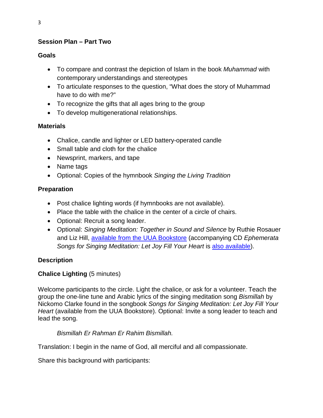## **Session Plan – Part Two**

#### **Goals**

- To compare and contrast the depiction of Islam in the book *Muhammad* with contemporary understandings and stereotypes
- To articulate responses to the question, "What does the story of Muhammad have to do with me?"
- To recognize the gifts that all ages bring to the group
- To develop multigenerational relationships.

## **Materials**

- Chalice, candle and lighter or LED battery-operated candle
- Small table and cloth for the chalice
- Newsprint, markers, and tape
- Name tags
- Optional: Copies of the hymnbook *Singing the Living Tradition*

## **Preparation**

- Post chalice lighting words (if hymnbooks are not available).
- Place the table with the chalice in the center of a circle of chairs.
- Optional: Recruit a song leader.
- Optional: *Singing Meditation: Together in Sound and Silence* by Ruthie Rosauer and Liz Hill, [available from the UUA Bookstore](http://www.uuabookstore.org/productdetails.cfm?PC=1107) (accompanying CD *Ephemerata Songs for Singing Meditation: Let Joy Fill Your Heart* is [also available\)](http://www.uuabookstore.org/productdetails.cfm?PC=1159).

## **Description**

## **Chalice Lighting** (5 minutes)

Welcome participants to the circle. Light the chalice, or ask for a volunteer. Teach the group the one-line tune and Arabic lyrics of the singing meditation song *Bismillah* by Nickomo Clarke found in the songbook *Songs for Singing Meditation: Let Joy Fill Your Heart* (available from the UUA Bookstore). Optional: Invite a song leader to teach and lead the song.

## *Bismillah Er Rahman Er Rahim Bismillah.*

Translation: I begin in the name of God, all merciful and all compassionate.

Share this background with participants: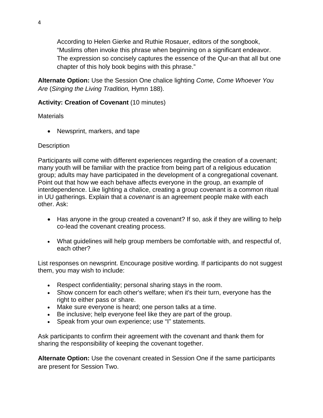According to Helen Gierke and Ruthie Rosauer, editors of the songbook, "Muslims often invoke this phrase when beginning on a significant endeavor. The expression so concisely captures the essence of the Qur-an that all but one chapter of this holy book begins with this phrase."

**Alternate Option:** Use the Session One chalice lighting *Come, Come Whoever You Are* (*Singing the Living Tradition,* Hymn 188).

## **Activity: Creation of Covenant** (10 minutes)

**Materials** 

• Newsprint, markers, and tape

## **Description**

Participants will come with different experiences regarding the creation of a covenant; many youth will be familiar with the practice from being part of a religious education group; adults may have participated in the development of a congregational covenant. Point out that how we each behave affects everyone in the group, an example of interdependence. Like lighting a chalice, creating a group covenant is a common ritual in UU gatherings. Explain that a *covenant* is an agreement people make with each other. Ask:

- Has anyone in the group created a covenant? If so, ask if they are willing to help co-lead the covenant creating process.
- What guidelines will help group members be comfortable with, and respectful of, each other?

List responses on newsprint. Encourage positive wording. If participants do not suggest them, you may wish to include:

- Respect confidentiality; personal sharing stays in the room.
- Show concern for each other's welfare; when it's their turn, everyone has the right to either pass or share.
- Make sure everyone is heard; one person talks at a time.
- Be inclusive; help everyone feel like they are part of the group.
- Speak from your own experience; use "I" statements.

Ask participants to confirm their agreement with the covenant and thank them for sharing the responsibility of keeping the covenant together.

**Alternate Option:** Use the covenant created in Session One if the same participants are present for Session Two.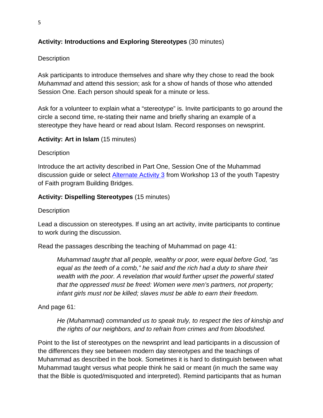## **Activity: Introductions and Exploring Stereotypes** (30 minutes)

## **Description**

Ask participants to introduce themselves and share why they chose to read the book *Muhammad* and attend this session; ask for a show of hands of those who attended Session One. Each person should speak for a minute or less.

Ask for a volunteer to explain what a "stereotype" is. Invite participants to go around the circle a second time, re-stating their name and briefly sharing an example of a stereotype they have heard or read about Islam. Record responses on newsprint.

#### **Activity: Art in Islam** (15 minutes)

#### **Description**

Introduce the art activity described in Part One, Session One of the Muhammad discussion guide or select [Alternate Activity 3](http://www.uua.org/re/tapestry/youth/bridges/workshop13/workshopplan/activities/185291.shtml) from Workshop 13 of the youth Tapestry of Faith program Building Bridges.

#### **Activity: Dispelling Stereotypes** (15 minutes)

#### **Description**

Lead a discussion on stereotypes. If using an art activity, invite participants to continue to work during the discussion.

Read the passages describing the teaching of Muhammad on page 41:

*Muhammad taught that all people, wealthy or poor, were equal before God, "as equal as the teeth of a comb," he said and the rich had a duty to share their wealth with the poor. A revelation that would further upset the powerful stated that the oppressed must be freed: Women were men's partners, not property; infant girls must not be killed; slaves must be able to earn their freedom.*

And page 61:

*He (Muhammad) commanded us to speak truly, to respect the ties of kinship and the rights of our neighbors, and to refrain from crimes and from bloodshed.*

Point to the list of stereotypes on the newsprint and lead participants in a discussion of the differences they see between modern day stereotypes and the teachings of Muhammad as described in the book. Sometimes it is hard to distinguish between what Muhammad taught versus what people think he said or meant (in much the same way that the Bible is quoted/misquoted and interpreted). Remind participants that as human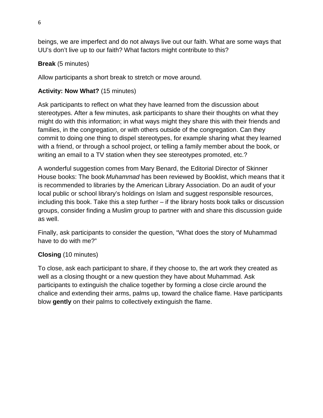beings, we are imperfect and do not always live out our faith. What are some ways that UU's don't live up to our faith? What factors might contribute to this?

## **Break** (5 minutes)

Allow participants a short break to stretch or move around.

## **Activity: Now What?** (15 minutes)

Ask participants to reflect on what they have learned from the discussion about stereotypes. After a few minutes, ask participants to share their thoughts on what they might do with this information; in what ways might they share this with their friends and families, in the congregation, or with others outside of the congregation. Can they commit to doing one thing to dispel stereotypes, for example sharing what they learned with a friend, or through a school project, or telling a family member about the book, or writing an email to a TV station when they see stereotypes promoted, etc.?

A wonderful suggestion comes from Mary Benard, the Editorial Director of Skinner House books: The book *Muhammad* has been reviewed by Booklist, which means that it is recommended to libraries by the American Library Association. Do an audit of your local public or school library's holdings on Islam and suggest responsible resources, including this book. Take this a step further – if the library hosts book talks or discussion groups, consider finding a Muslim group to partner with and share this discussion guide as well.

Finally, ask participants to consider the question, "What does the story of Muhammad have to do with me?"

## **Closing** (10 minutes)

To close, ask each participant to share, if they choose to, the art work they created as well as a closing thought or a new question they have about Muhammad. Ask participants to extinguish the chalice together by forming a close circle around the chalice and extending their arms, palms up, toward the chalice flame. Have participants blow **gently** on their palms to collectively extinguish the flame.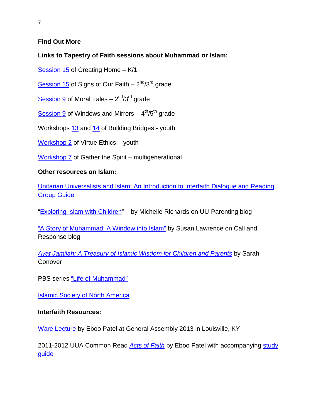## **Find Out More**

#### **Links to Tapestry of Faith sessions about Muhammad or Islam:**

[Session 15](http://www.uua.org/re/tapestry/children/home/session15/sessionplan/stories/60167.shtml) of Creating Home – K/1

[Session 15](http://www.uua.org/re/tapestry/children/signs/session15/sessionplan/activities/288104.shtml) of Signs of Our Faith –  $2^{nd}/3^{rd}$  grade

[Session 9](http://www.uua.org/re/tapestry/children/tales/session9/sessionplan/stories/123466.shtml) of Moral Tales  $-2<sup>nd</sup>/3<sup>rd</sup>$  grade

[Session](http://www.uua.org/re/tapestry/children/windows/session9/sessionplan/stories/143700.shtml) 9 of Windows and Mirrors  $-4<sup>th</sup>/5<sup>th</sup>$  grade

Workshops [13](http://www.uua.org/re/tapestry/youth/bridges/workshop13/workshopplan/activities/185284.shtml) and [14](http://www.uua.org/re/tapestry/youth/bridges/workshop14/workshopplan/activities/185648.shtml) of Building Bridges - youth

[Workshop 2](http://www.uua.org/re/tapestry/youth/virtueethics/workshop2/workshopplan/193140.shtml) of Virtue Ethics – youth

[Workshop 7](http://www.uua.org/re/tapestry/multigenerational/gather/workshop7/workshopplan/stories/149663.shtml) of Gather the Spirit – multigenerational

#### **Other resources on Islam:**

[Unitarian Universalists and Islam: An Introduction to Interfaith Dialogue and Reading](http://rs1.uua.org/documents/washingtonoffice/uu_muslim_interfaith_guide.pdf)  [Group Guide](http://rs1.uua.org/documents/washingtonoffice/uu_muslim_interfaith_guide.pdf)

["Exploring Islam with Children"](http://blogs.uuworld.org/parenting/2013/07/15/exploring-islam-with-children/) – by Michelle Richards on UU-Parenting blog

["A Story of Muhammad: A Window into Islam"](http://callandresponse.blogs.uua.org/) by Susan Lawrence on Call and Response blog

*[Ayat Jamilah: A Treasury of Islamic Wisdom for Children and Parents](http://www.uuabookstore.org/productdetails.cfm?PC=1274)* by Sarah Conover

PBS series ["Life of Muhammad"](http://video.pbs.org/program/life-muhammad/)

**[Islamic Society of North America](http://www.isna.net/interfaith-resources.html)** 

#### **Interfaith Resources:**

[Ware Lecture](http://www.uua.org/love/ga/287238.shtml) by Eboo Patel at General Assembly 2013 in Louisville, KY

2011-2012 UUA Common Read *[Acts of Faith](http://www.uuabookstore.org/productdetails.cfm?PC=1415)* by Eboo Patel with accompanying [study](http://www.uua.org/documents/lfd/acts_faith_discuss_guide.pdf)  [guide](http://www.uua.org/documents/lfd/acts_faith_discuss_guide.pdf)